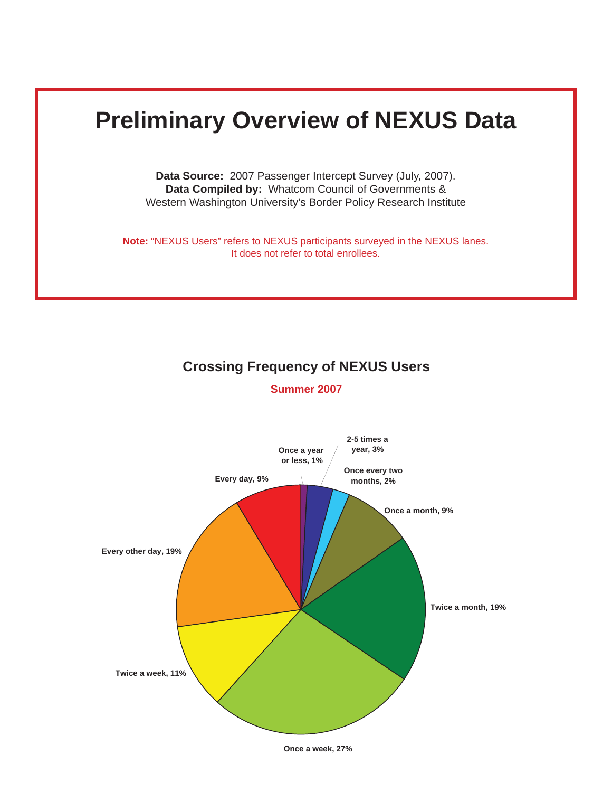# **Preliminary Overview of NEXUS Data**

**Data Source:** 2007 Passenger Intercept Survey (July, 2007). **Data Compiled by:** Whatcom Council of Governments & Western Washington University's Border Policy Research Institute

**Note:** "NEXUS Users" refers to NEXUS participants surveyed in the NEXUS lanes. It does not refer to total enrollees.

## **Crossing Frequency of NEXUS Users**

**Summer 2007**



**Once a week, 27%**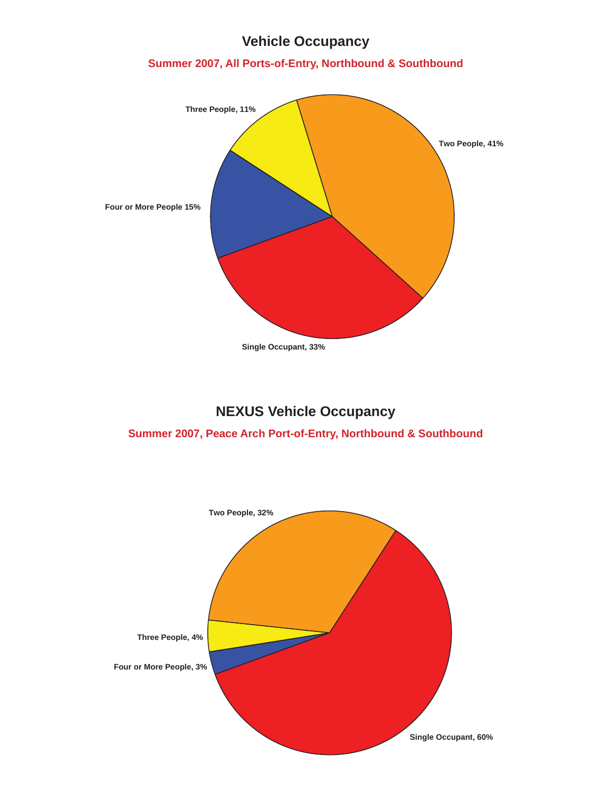# **Vehicle Occupancy**

## **Summer 2007, All Ports-of-Entry, Northbound & Southbound**



# **NEXUS Vehicle Occupancy**

#### **Summer 2007, Peace Arch Port-of-Entry, Northbound & Southbound**

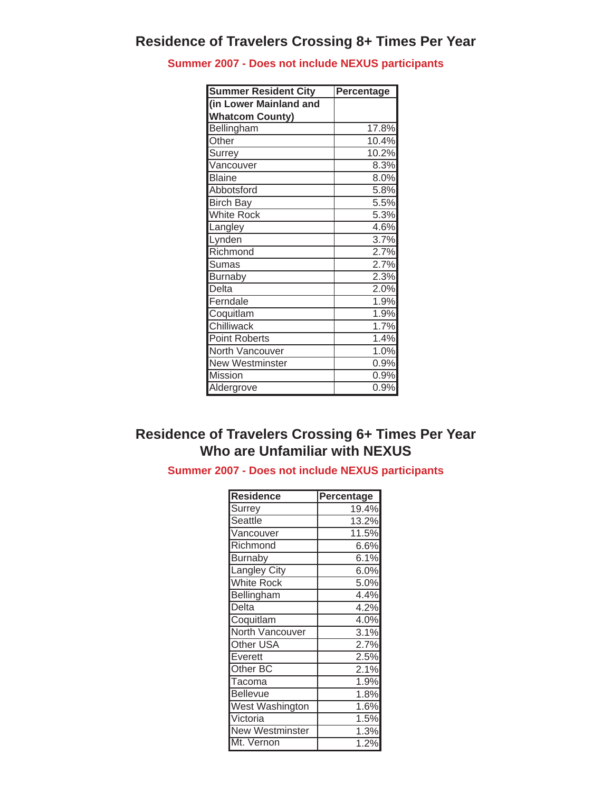**Summer 2007 - Does not include NEXUS participants**

| <b>Summer Resident City</b> | Percentage         |  |  |  |  |
|-----------------------------|--------------------|--|--|--|--|
| (in Lower Mainland and      |                    |  |  |  |  |
| <b>Whatcom County)</b>      |                    |  |  |  |  |
| Bellingham                  | 17.8%              |  |  |  |  |
| Other                       | 10.4%              |  |  |  |  |
| Surrey                      | 10.2%              |  |  |  |  |
| Vancouver                   | 8.3%               |  |  |  |  |
| <b>Blaine</b>               | 8.0%               |  |  |  |  |
| Abbotsford                  | 5.8%               |  |  |  |  |
| <b>Birch Bay</b>            | 5.5%               |  |  |  |  |
| <b>White Rock</b>           | 5.3%               |  |  |  |  |
| angley                      | 4.6%               |  |  |  |  |
| Lynden                      | 3.7%               |  |  |  |  |
| Richmond                    | 2.7%               |  |  |  |  |
| Sumas                       | 2.7%               |  |  |  |  |
| <b>Burnaby</b>              | 2.3%               |  |  |  |  |
| Delta                       | 2.0%               |  |  |  |  |
| Ferndale                    | 1.9%               |  |  |  |  |
| Coquitlam                   | 1.9%               |  |  |  |  |
| Chilliwack                  | $\overline{1.7\%}$ |  |  |  |  |
| Point Roberts               | 1.4%               |  |  |  |  |
| North Vancouver             | 1.0%               |  |  |  |  |
| <b>New Westminster</b>      | 0.9%               |  |  |  |  |
| Mission                     | 0.9%               |  |  |  |  |
| Aldergrove                  | 0.9%               |  |  |  |  |

# **Residence of Travelers Crossing 6+ Times Per Year Who are Unfamiliar with NEXUS**

**Summer 2007 - Does not include NEXUS participants**

| <b>Residence</b>    | Percentage         |
|---------------------|--------------------|
| Surrey              | 19.4%              |
| Seattle             | 13.2%              |
| Vancouver           | 11.5%              |
| Richmond            | 6.6%               |
| <b>Burnaby</b>      | 6.1%               |
| <b>Langley City</b> | 6.0%               |
| <b>White Rock</b>   | 5.0%               |
| <b>Bellingham</b>   | 4.4%               |
| Delta               | 4.2%               |
| Coquitlam           | $\overline{4.0\%}$ |
| North Vancouver     | 3.1%               |
| Other USA           | 2.7%               |
| Everett             | 2.5%               |
| Other BC            | 2.1%               |
| Tacoma              | 1.9%               |
| <b>Bellevue</b>     | 1.8%               |
| West Washington     | 1.6%               |
| Victoria            | 1.5%               |
| New Westminster     | 1.3%               |
| Mt. Vernon          | 1.2%               |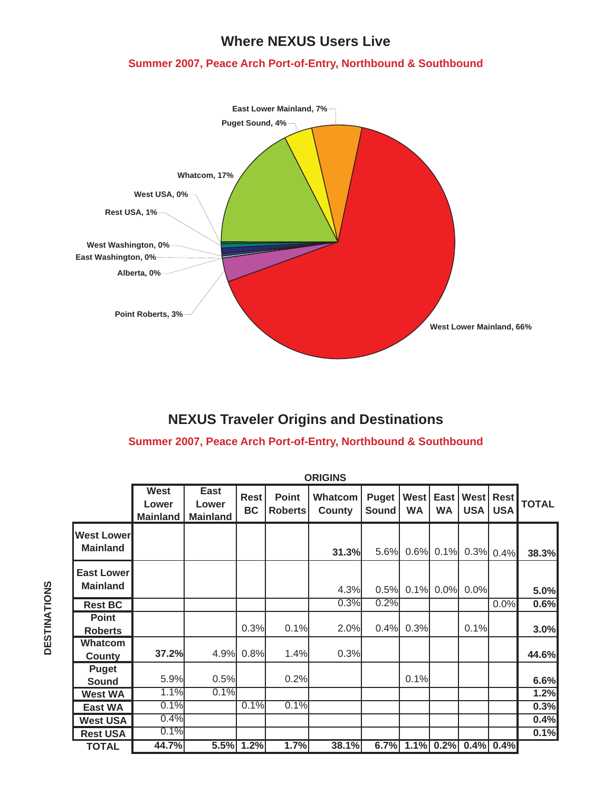## **Where NEXUS Users Live**

## **Summer 2007, Peace Arch Port-of-Entry, Northbound & Southbound**



# **NEXUS Traveler Origins and Destinations**

### **Summer 2007, Peace Arch Port-of-Entry, Northbound & Southbound**

|                                      | <b>ORIGINS</b>                   |                                  |                          |                                |                          |                       |                             |                   |                    |                           |              |
|--------------------------------------|----------------------------------|----------------------------------|--------------------------|--------------------------------|--------------------------|-----------------------|-----------------------------|-------------------|--------------------|---------------------------|--------------|
|                                      | West<br>Lower<br><b>Mainland</b> | East<br>Lower<br><b>Mainland</b> | <b>Rest</b><br><b>BC</b> | <b>Point</b><br><b>Roberts</b> | <b>Whatcom</b><br>County | Puget<br><b>Sound</b> | <b>West</b><br><b>WA</b>    | East<br><b>WA</b> | West<br><b>USA</b> | <b>Rest</b><br><b>USA</b> | <b>TOTAL</b> |
| <b>West Lower</b><br><b>Mainland</b> |                                  |                                  |                          |                                | 31.3%                    | 5.6%                  | 0.6%                        | 0.1%              |                    | 0.3% 0.4%                 | 38.3%        |
| <b>East Lower</b><br><b>Mainland</b> |                                  |                                  |                          |                                | 4.3%                     | 0.5%                  | 0.1%                        | 0.0%              | 0.0%               |                           | 5.0%         |
| <b>Rest BC</b>                       |                                  |                                  |                          |                                | 0.3%                     | 0.2%                  |                             |                   |                    | 0.0%                      | 0.6%         |
| <b>Point</b><br><b>Roberts</b>       |                                  |                                  | 0.3%                     | 0.1%                           | 2.0%                     | 0.4%                  | 0.3%                        |                   | 0.1%               |                           | 3.0%         |
| <b>Whatcom</b><br>County             | 37.2%                            | 4.9%                             | 0.8%                     | 1.4%                           | 0.3%                     |                       |                             |                   |                    |                           | 44.6%        |
| Puget<br>Sound                       | 5.9%                             | 0.5%                             |                          | 0.2%                           |                          |                       | 0.1%                        |                   |                    |                           | 6.6%         |
| <b>West WA</b>                       | 1.1%                             | 0.1%                             |                          |                                |                          |                       |                             |                   |                    |                           | 1.2%         |
| <b>East WA</b>                       | 0.1%                             |                                  | 0.1%                     | 0.1%                           |                          |                       |                             |                   |                    |                           | 0.3%         |
| <b>West USA</b>                      | 0.4%                             |                                  |                          |                                |                          |                       |                             |                   |                    |                           | 0.4%         |
| <b>Rest USA</b>                      | 0.1%                             |                                  |                          |                                |                          |                       |                             |                   |                    |                           | 0.1%         |
| <b>TOTAL</b>                         | 44.7%                            |                                  | 5.5% 1.2%                | 1.7%                           | 38.1%                    |                       | $6.7\%$ 1.1% 0.2% 0.4% 0.4% |                   |                    |                           |              |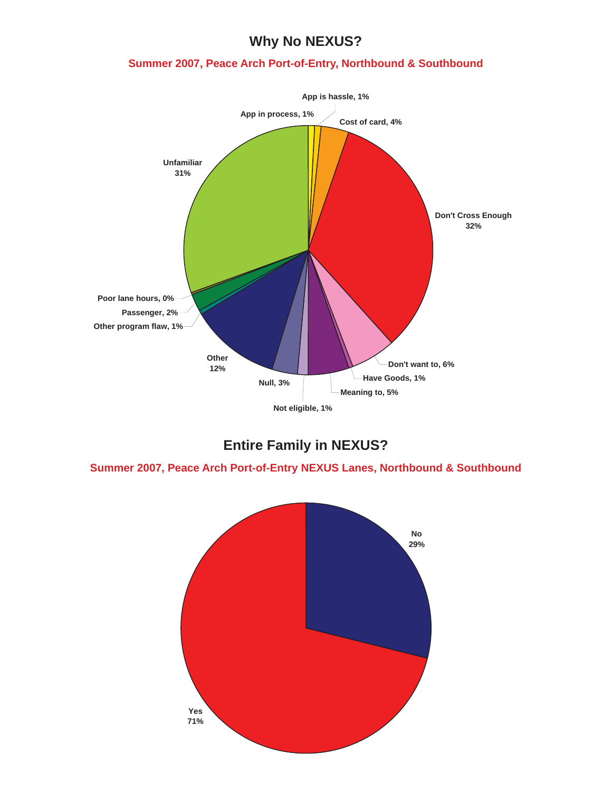# **Why No NEXUS?**

#### **Summer 2007, Peace Arch Port-of-Entry, Northbound & Southbound**



## **Entire Family in NEXUS?**

**Summer 2007, Peace Arch Port-of-Entry NEXUS Lanes, Northbound & Southbound**